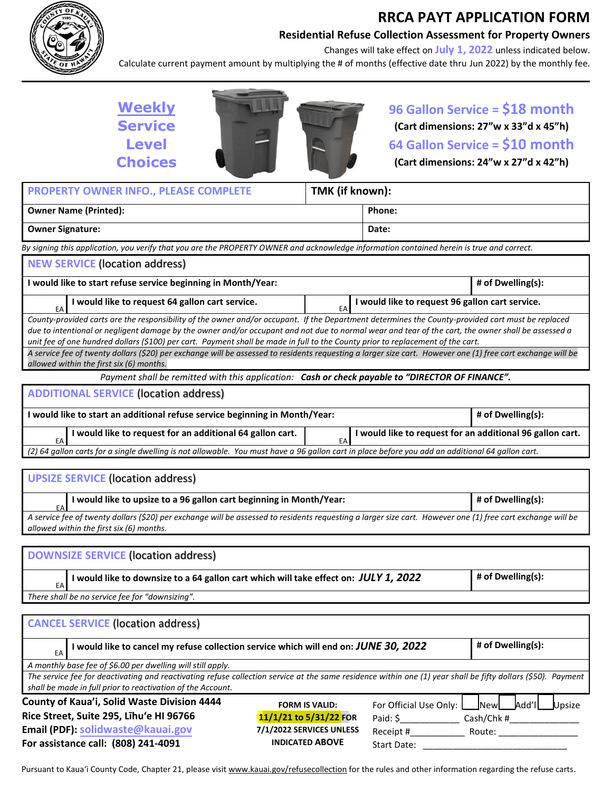

**For assistance call: (808) 241-4091**

## **RRCA PAYT APPLICATION FORM**

**Residential Refuse Collection Assessment for Property Owners** 

Changes will take effect on **July 1, 2022** unless indicated below. Calculate current payment amount by multiplying the # of months (effective date thru Jun 2022) by the monthly fee.

**Weekly Service Level Choices**



## **96 Gallon Service = \$18 month (Cart dimensions: 27"w x 33"d x 45"h) 64 Gallon Service = \$10 month (Cart dimensions: 24"w x 27"d x 42"h)**

| TMK (if known):<br>PROPERTY OWNER INFO., PLEASE COMPLETE                                                                                                                                                                                                                                                                                                                                                                                                                                                                                                                                                  |                                                       |                        |                                           |
|-----------------------------------------------------------------------------------------------------------------------------------------------------------------------------------------------------------------------------------------------------------------------------------------------------------------------------------------------------------------------------------------------------------------------------------------------------------------------------------------------------------------------------------------------------------------------------------------------------------|-------------------------------------------------------|------------------------|-------------------------------------------|
| <b>Owner Name (Printed):</b>                                                                                                                                                                                                                                                                                                                                                                                                                                                                                                                                                                              |                                                       | Phone:                 |                                           |
| <b>Owner Signature:</b>                                                                                                                                                                                                                                                                                                                                                                                                                                                                                                                                                                                   |                                                       | Date:                  |                                           |
| By signing this application, you verify that you are the PROPERTY OWNER and acknowledge information contained herein is true and correct.                                                                                                                                                                                                                                                                                                                                                                                                                                                                 |                                                       |                        |                                           |
| <b>NEW SERVICE (location address)</b>                                                                                                                                                                                                                                                                                                                                                                                                                                                                                                                                                                     |                                                       |                        |                                           |
| I would like to start refuse service beginning in Month/Year:                                                                                                                                                                                                                                                                                                                                                                                                                                                                                                                                             |                                                       |                        | # of Dwelling(s):                         |
| I would like to request 64 gallon cart service.<br>EA                                                                                                                                                                                                                                                                                                                                                                                                                                                                                                                                                     | I would like to request 96 gallon cart service.<br>EA |                        |                                           |
| County-provided carts are the responsibility of the owner and/or occupant. If the Department determines the County-provided cart must be replaced<br>due to intentional or negligent damage by the owner and/or occupant and not due to normal wear and tear of the cart, the owner shall be assessed a<br>unit fee of one hundred dollars (\$100) per cart. Payment shall be made in full to the County prior to replacement of the cart.<br>A service fee of twenty dollars (\$20) per exchange will be assessed to residents requesting a larger size cart. However one (1) free cart exchange will be |                                                       |                        |                                           |
| allowed within the first six (6) months.                                                                                                                                                                                                                                                                                                                                                                                                                                                                                                                                                                  |                                                       |                        |                                           |
| Payment shall be remitted with this application: Cash or check payable to "DIRECTOR OF FINANCE".                                                                                                                                                                                                                                                                                                                                                                                                                                                                                                          |                                                       |                        |                                           |
| <b>ADDITIONAL SERVICE (location address)</b>                                                                                                                                                                                                                                                                                                                                                                                                                                                                                                                                                              |                                                       |                        |                                           |
| I would like to start an additional refuse service beginning in Month/Year:                                                                                                                                                                                                                                                                                                                                                                                                                                                                                                                               |                                                       |                        | # of Dwelling(s):                         |
| I would like to request for an additional 64 gallon cart.<br>I would like to request for an additional 96 gallon cart.<br>EA<br>EA                                                                                                                                                                                                                                                                                                                                                                                                                                                                        |                                                       |                        |                                           |
| (2) 64 gallon carts for a single dwelling is not allowable. You must have a 96 gallon cart in place before you add an additional 64 gallon cart.                                                                                                                                                                                                                                                                                                                                                                                                                                                          |                                                       |                        |                                           |
|                                                                                                                                                                                                                                                                                                                                                                                                                                                                                                                                                                                                           |                                                       |                        |                                           |
| <b>UPSIZE SERVICE (location address)</b>                                                                                                                                                                                                                                                                                                                                                                                                                                                                                                                                                                  |                                                       |                        |                                           |
| I would like to upsize to a 96 gallon cart beginning in Month/Year:                                                                                                                                                                                                                                                                                                                                                                                                                                                                                                                                       |                                                       |                        | # of Dwelling(s):                         |
| A service fee of twenty dollars (\$20) per exchange will be assessed to residents requesting a larger size cart. However one (1) free cart exchange will be<br>allowed within the first six (6) months.                                                                                                                                                                                                                                                                                                                                                                                                   |                                                       |                        |                                           |
|                                                                                                                                                                                                                                                                                                                                                                                                                                                                                                                                                                                                           |                                                       |                        |                                           |
| <b>DOWNSIZE SERVICE (location address)</b>                                                                                                                                                                                                                                                                                                                                                                                                                                                                                                                                                                |                                                       |                        |                                           |
| I would like to downsize to a 64 gallon cart which will take effect on: JULY 1, 2022<br>EA                                                                                                                                                                                                                                                                                                                                                                                                                                                                                                                |                                                       |                        | # of Dwelling(s):                         |
| There shall be no service fee for "downsizing".                                                                                                                                                                                                                                                                                                                                                                                                                                                                                                                                                           |                                                       |                        |                                           |
| <b>CANCEL SERVICE (location address)</b>                                                                                                                                                                                                                                                                                                                                                                                                                                                                                                                                                                  |                                                       |                        |                                           |
| I would like to cancel my refuse collection service which will end on: JUNE 30, 2022<br>EA                                                                                                                                                                                                                                                                                                                                                                                                                                                                                                                |                                                       |                        | # of Dwelling(s):                         |
| A monthly base fee of \$6.00 per dwelling will still apply.                                                                                                                                                                                                                                                                                                                                                                                                                                                                                                                                               |                                                       |                        |                                           |
| The service fee for deactivating and reactivating refuse collection service at the same residence within one (1) year shall be fifty dollars (\$50). Payment                                                                                                                                                                                                                                                                                                                                                                                                                                              |                                                       |                        |                                           |
| shall be made in full prior to reactivation of the Account.                                                                                                                                                                                                                                                                                                                                                                                                                                                                                                                                               |                                                       |                        |                                           |
| County of Kaua'i, Solid Waste Division 4444<br>Rice Street, Suite 295, Līhu'e HI 96766                                                                                                                                                                                                                                                                                                                                                                                                                                                                                                                    | <b>FORM IS VALID:</b>                                 | For Official Use Only: | _Add'l<br>$\sqrt{\mathsf{New}}$<br>Upsize |
| Email (PDF): solidwaste@kauai.gov                                                                                                                                                                                                                                                                                                                                                                                                                                                                                                                                                                         | 11/1/21 to 5/31/22 FOR<br>7/1/2022 SERVICES UNLESS    | Paid: \$               | Cash/Chk #                                |
|                                                                                                                                                                                                                                                                                                                                                                                                                                                                                                                                                                                                           |                                                       | Receipt #              | Route:                                    |

Pursuant to Kaua'i County Code, Chapter 21, please visit www.kauai.gov/refusecollection for the rules and other information regarding the refuse carts.

**INDICATED ABOVE** 

Start Date: